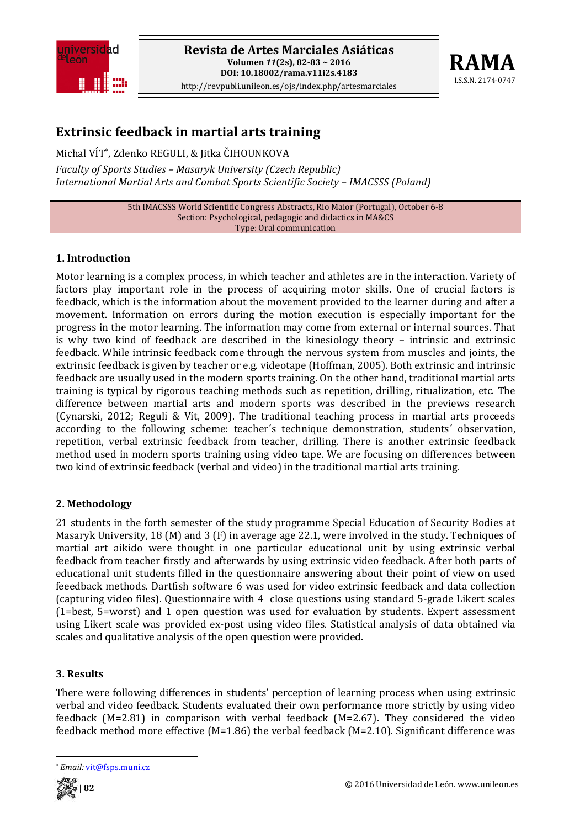



# **Extrinsic feedback in martial arts training**

Michal VÍT\*, Zdenko REGULI, & Jitka ČIHOUNKOVA *Faculty of Sports Studies – Masaryk University (Czech Republic) International Martial Arts and Combat Sports Scientific Society – IMACSSS (Poland)*

> 5th IMACSSS World Scientific Congress Abstracts, Rio Maior (Portugal), October 6‐8 Section: Psychological, pedagogic and didactics in MA&CS Type: Oral communication

### **1. Introduction**

Motor learning is a complex process, in which teacher and athletes are in the interaction. Variety of factors play important role in the process of acquiring motor skills. One of crucial factors is feedback, which is the information about the movement provided to the learner during and after a movement. Information on errors during the motion execution is especially important for the progress in the motor learning. The information may come from external or internal sources. That is why two kind of feedback are described in the kinesiology theory – intrinsic and extrinsic feedback. While intrinsic feedback come through the nervous system from muscles and joints, the extrinsic feedback is given by teacher or e.g. videotape (Hoffman, 2005). Both extrinsic and intrinsic feedback are usually used in the modern sports training. On the other hand, traditional martial arts training is typical by rigorous teaching methods such as repetition, drilling, ritualization, etc. The difference between martial arts and modern sports was described in the previews research (Cynarski, 2012; Reguli & Vít, 2009). The traditional teaching process in martial arts proceeds according to the following scheme: teacher's technique demonstration, students' observation, repetition, verbal extrinsic feedback from teacher, drilling. There is another extrinsic feedback method used in modern sports training using video tape. We are focusing on differences between two kind of extrinsic feedback (verbal and video) in the traditional martial arts training.

## **2. Methodology**

21 students in the forth semester of the study programme Special Education of Security Bodies at Masaryk University, 18 (M) and 3 (F) in average age 22.1, were involved in the study. Techniques of martial art aikido were thought in one particular educational unit by using extrinsic verbal feedback from teacher firstly and afterwards by using extrinsic video feedback. After both parts of educational unit students filled in the questionnaire answering about their point of view on used feeedback methods. Dartfish software 6 was used for video extrinsic feedback and data collection (capturing video files). Questionnaire with 4 close questions using standard 5‐grade Likert scales (1=best, 5=worst) and 1 open question was used for evaluation by students. Expert assessment using Likert scale was provided ex‐post using video files. Statistical analysis of data obtained via scales and qualitative analysis of the open question were provided.

#### **3. Results**

There were following differences in students' perception of learning process when using extrinsic verbal and video feedback. Students evaluated their own performance more strictly by using video feedback  $(M=2.81)$  in comparison with verbal feedback  $(M=2.67)$ . They considered the video feedback method more effective (M=1.86) the verbal feedback (M=2.10). Significant difference was

Email: vit@fsps.muni.cz